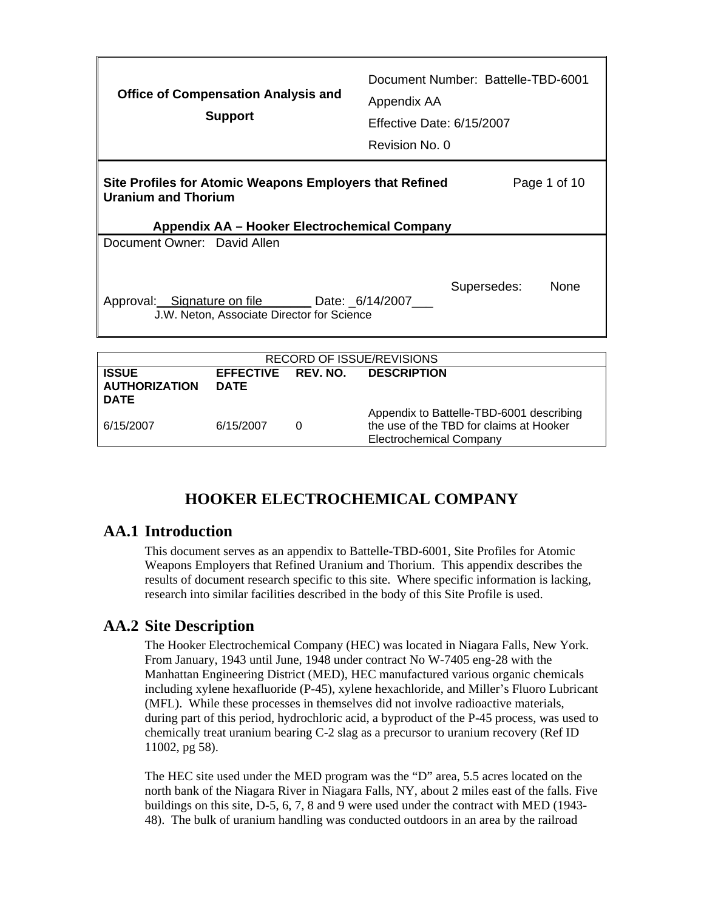| <b>Office of Compensation Analysis and</b><br><b>Support</b>                                                                          | Document Number: Battelle-TBD-6001<br>Appendix AA<br>Effective Date: 6/15/2007<br>Revision No. 0 |
|---------------------------------------------------------------------------------------------------------------------------------------|--------------------------------------------------------------------------------------------------|
| Site Profiles for Atomic Weapons Employers that Refined<br><b>Uranium and Thorium</b><br>Appendix AA - Hooker Electrochemical Company | Page 1 of 10                                                                                     |
| Document Owner: David Allen                                                                                                           |                                                                                                  |
| Approval: Signature on file Date: 6/14/2007<br>J.W. Neton, Associate Director for Science                                             | Supersedes:<br>None                                                                              |
| RECORD OF ISSUE/REVISIONS                                                                                                             |                                                                                                  |

| RECORD OF ISSUE/REVISIONS                           |                                   |          |                                                                                                                |  |  |
|-----------------------------------------------------|-----------------------------------|----------|----------------------------------------------------------------------------------------------------------------|--|--|
| <b>ISSUE</b><br><b>AUTHORIZATION</b><br><b>DATE</b> | EFFECTIVE REV. NO.<br><b>DATE</b> |          | <b>DESCRIPTION</b>                                                                                             |  |  |
| 6/15/2007                                           | 6/15/2007                         | $\Omega$ | Appendix to Battelle-TBD-6001 describing<br>the use of the TBD for claims at Hooker<br>Electrochemical Company |  |  |

# **HOOKER ELECTROCHEMICAL COMPANY**

## **AA.1 Introduction**

This document serves as an appendix to Battelle-TBD-6001, Site Profiles for Atomic Weapons Employers that Refined Uranium and Thorium. This appendix describes the results of document research specific to this site. Where specific information is lacking, research into similar facilities described in the body of this Site Profile is used.

## **AA.2 Site Description**

The Hooker Electrochemical Company (HEC) was located in Niagara Falls, New York. From January, 1943 until June, 1948 under contract No W-7405 eng-28 with the Manhattan Engineering District (MED), HEC manufactured various organic chemicals including xylene hexafluoride (P-45), xylene hexachloride, and Miller's Fluoro Lubricant (MFL). While these processes in themselves did not involve radioactive materials, during part of this period, hydrochloric acid, a byproduct of the P-45 process, was used to chemically treat uranium bearing C-2 slag as a precursor to uranium recovery (Ref ID 11002, pg 58).

The HEC site used under the MED program was the "D" area, 5.5 acres located on the north bank of the Niagara River in Niagara Falls, NY, about 2 miles east of the falls. Five buildings on this site, D-5, 6, 7, 8 and 9 were used under the contract with MED (1943- 48). The bulk of uranium handling was conducted outdoors in an area by the railroad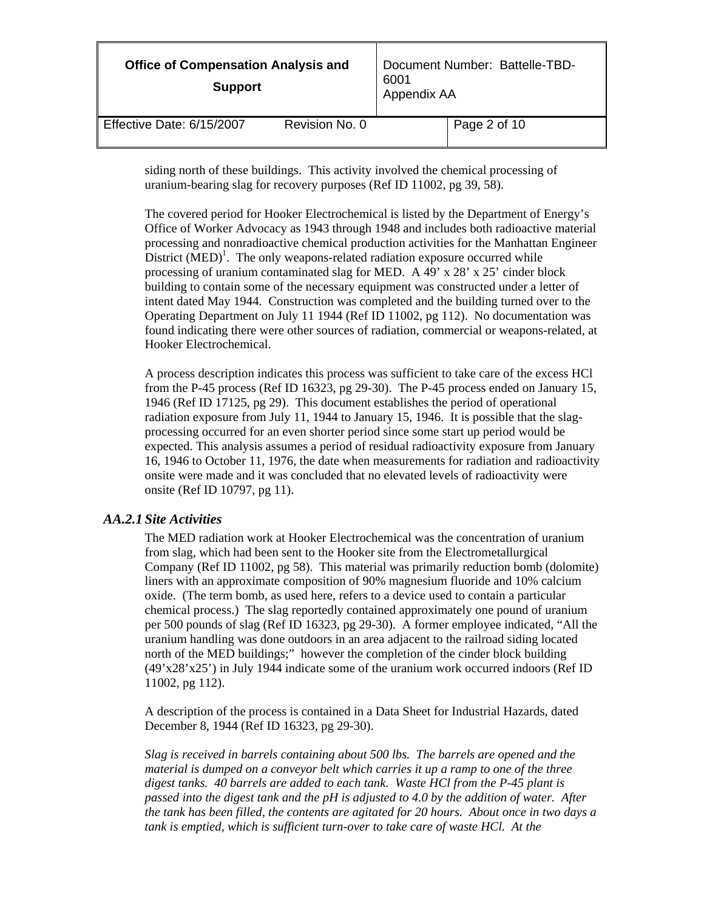| <b>Office of Compensation Analysis and</b><br><b>Support</b> | Document Number: Battelle-TBD-<br>6001<br>Appendix AA |  |              |
|--------------------------------------------------------------|-------------------------------------------------------|--|--------------|
| Effective Date: 6/15/2007                                    | Revision No. 0                                        |  | Page 2 of 10 |

siding north of these buildings. This activity involved the chemical processing of uranium-bearing slag for recovery purposes (Ref ID 11002, pg 39, 58).

The covered period for Hooker Electrochemical is listed by the Department of Energy's Office of Worker Advocacy as 1943 through 1948 and includes both radioactive material processing and nonradioactive chemical production activities for the Manhattan Engineer District  $(MED)^{1}$ . The only weapons-related radiation exposure occurred while processing of uranium contaminated slag for MED. A 49' x 28' x 25' cinder block building to contain some of the necessary equipment was constructed under a letter of intent dated May 1944. Construction was completed and the building turned over to the Operating Department on July 11 1944 (Ref ID 11002, pg 112). No documentation was found indicating there were other sources of radiation, commercial or weapons-related, at Hooker Electrochemical.

A process description indicates this process was sufficient to take care of the excess HCl from the P-45 process (Ref ID 16323, pg 29-30). The P-45 process ended on January 15, 1946 (Ref ID 17125, pg 29). This document establishes the period of operational radiation exposure from July 11, 1944 to January 15, 1946. It is possible that the slagprocessing occurred for an even shorter period since some start up period would be expected. This analysis assumes a period of residual radioactivity exposure from January 16, 1946 to October 11, 1976, the date when measurements for radiation and radioactivity onsite were made and it was concluded that no elevated levels of radioactivity were onsite (Ref ID 10797, pg 11).

### *AA.2.1 Site Activities*

The MED radiation work at Hooker Electrochemical was the concentration of uranium from slag, which had been sent to the Hooker site from the Electrometallurgical Company (Ref ID 11002, pg 58). This material was primarily reduction bomb (dolomite) liners with an approximate composition of 90% magnesium fluoride and 10% calcium oxide. (The term bomb, as used here, refers to a device used to contain a particular chemical process.) The slag reportedly contained approximately one pound of uranium per 500 pounds of slag (Ref ID 16323, pg 29-30). A former employee indicated, "All the uranium handling was done outdoors in an area adjacent to the railroad siding located north of the MED buildings;" however the completion of the cinder block building (49'x28'x25') in July 1944 indicate some of the uranium work occurred indoors (Ref ID 11002, pg 112).

A description of the process is contained in a Data Sheet for Industrial Hazards, dated December 8, 1944 (Ref ID 16323, pg 29-30).

*Slag is received in barrels containing about 500 lbs. The barrels are opened and the material is dumped on a conveyor belt which carries it up a ramp to one of the three digest tanks. 40 barrels are added to each tank. Waste HCl from the P-45 plant is passed into the digest tank and the pH is adjusted to 4.0 by the addition of water. After the tank has been filled, the contents are agitated for 20 hours. About once in two days a tank is emptied, which is sufficient turn-over to take care of waste HCl. At the*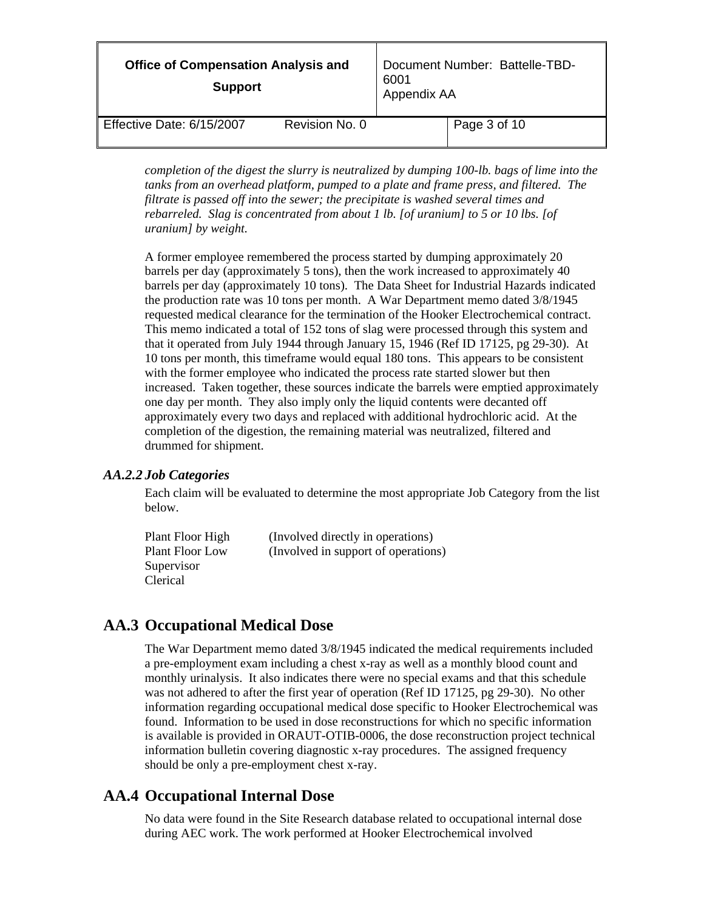| <b>Office of Compensation Analysis and</b><br><b>Support</b> |                | Document Number: Battelle-TBD-<br>6001<br>Appendix AA |              |
|--------------------------------------------------------------|----------------|-------------------------------------------------------|--------------|
| Effective Date: 6/15/2007                                    | Revision No. 0 |                                                       | Page 3 of 10 |

*completion of the digest the slurry is neutralized by dumping 100-lb. bags of lime into the tanks from an overhead platform, pumped to a plate and frame press, and filtered. The filtrate is passed off into the sewer; the precipitate is washed several times and rebarreled. Slag is concentrated from about 1 lb. [of uranium] to 5 or 10 lbs. [of uranium] by weight.*

A former employee remembered the process started by dumping approximately 20 barrels per day (approximately 5 tons), then the work increased to approximately 40 barrels per day (approximately 10 tons). The Data Sheet for Industrial Hazards indicated the production rate was 10 tons per month. A War Department memo dated 3/8/1945 requested medical clearance for the termination of the Hooker Electrochemical contract. This memo indicated a total of 152 tons of slag were processed through this system and that it operated from July 1944 through January 15, 1946 (Ref ID 17125, pg 29-30). At 10 tons per month, this timeframe would equal 180 tons. This appears to be consistent with the former employee who indicated the process rate started slower but then increased. Taken together, these sources indicate the barrels were emptied approximately one day per month. They also imply only the liquid contents were decanted off approximately every two days and replaced with additional hydrochloric acid. At the completion of the digestion, the remaining material was neutralized, filtered and drummed for shipment.

### *AA.2.2 Job Categories*

Each claim will be evaluated to determine the most appropriate Job Category from the list below.

| Plant Floor High       | (Involved directly in operations)   |
|------------------------|-------------------------------------|
| <b>Plant Floor Low</b> | (Involved in support of operations) |
| Supervisor             |                                     |
| Clerical               |                                     |

## **AA.3 Occupational Medical Dose**

The War Department memo dated 3/8/1945 indicated the medical requirements included a pre-employment exam including a chest x-ray as well as a monthly blood count and monthly urinalysis. It also indicates there were no special exams and that this schedule was not adhered to after the first year of operation (Ref ID 17125, pg 29-30). No other information regarding occupational medical dose specific to Hooker Electrochemical was found. Information to be used in dose reconstructions for which no specific information is available is provided in ORAUT-OTIB-0006, the dose reconstruction project technical information bulletin covering diagnostic x-ray procedures. The assigned frequency should be only a pre-employment chest x-ray.

# **AA.4 Occupational Internal Dose**

No data were found in the Site Research database related to occupational internal dose during AEC work. The work performed at Hooker Electrochemical involved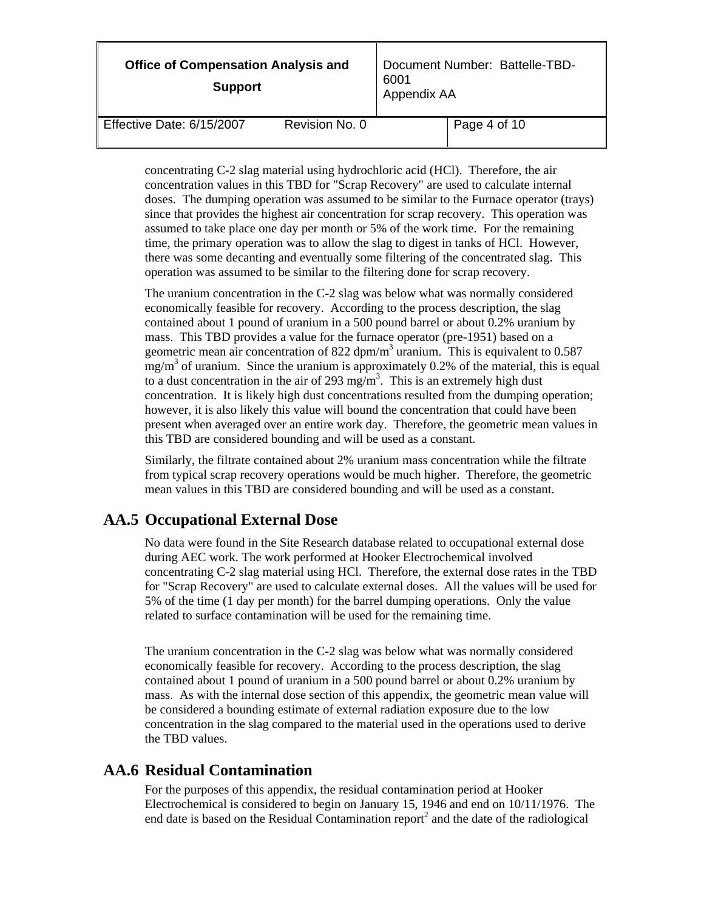| <b>Office of Compensation Analysis and</b><br><b>Support</b> |                | Document Number: Battelle-TBD-<br>6001<br>Appendix AA |              |
|--------------------------------------------------------------|----------------|-------------------------------------------------------|--------------|
| Effective Date: 6/15/2007                                    | Revision No. 0 |                                                       | Page 4 of 10 |

concentrating C-2 slag material using hydrochloric acid (HCl). Therefore, the air concentration values in this TBD for "Scrap Recovery" are used to calculate internal doses. The dumping operation was assumed to be similar to the Furnace operator (trays) since that provides the highest air concentration for scrap recovery. This operation was assumed to take place one day per month or 5% of the work time. For the remaining time, the primary operation was to allow the slag to digest in tanks of HCl. However, there was some decanting and eventually some filtering of the concentrated slag. This operation was assumed to be similar to the filtering done for scrap recovery.

The uranium concentration in the C-2 slag was below what was normally considered economically feasible for recovery. According to the process description, the slag contained about 1 pound of uranium in a 500 pound barrel or about 0.2% uranium by mass. This TBD provides a value for the furnace operator (pre-1951) based on a geometric mean air concentration of 822 dpm/ $m<sup>3</sup>$  uranium. This is equivalent to 0.587  $mg/m<sup>3</sup>$  of uranium. Since the uranium is approximately 0.2% of the material, this is equal to a dust concentration in the air of 293 mg/m<sup>3</sup>. This is an extremely high dust concentration. It is likely high dust concentrations resulted from the dumping operation; however, it is also likely this value will bound the concentration that could have been present when averaged over an entire work day. Therefore, the geometric mean values in this TBD are considered bounding and will be used as a constant.

Similarly, the filtrate contained about 2% uranium mass concentration while the filtrate from typical scrap recovery operations would be much higher. Therefore, the geometric mean values in this TBD are considered bounding and will be used as a constant.

## **AA.5 Occupational External Dose**

No data were found in the Site Research database related to occupational external dose during AEC work. The work performed at Hooker Electrochemical involved concentrating C-2 slag material using HCl. Therefore, the external dose rates in the TBD for "Scrap Recovery" are used to calculate external doses. All the values will be used for 5% of the time (1 day per month) for the barrel dumping operations. Only the value related to surface contamination will be used for the remaining time.

The uranium concentration in the C-2 slag was below what was normally considered economically feasible for recovery. According to the process description, the slag contained about 1 pound of uranium in a 500 pound barrel or about 0.2% uranium by mass. As with the internal dose section of this appendix, the geometric mean value will be considered a bounding estimate of external radiation exposure due to the low concentration in the slag compared to the material used in the operations used to derive the TBD values.

## **AA.6 Residual Contamination**

For the purposes of this appendix, the residual contamination period at Hooker Electrochemical is considered to begin on January 15, 1946 and end on 10/11/1976. The end date is based on the Residual Contamination report<sup>2</sup> and the date of the radiological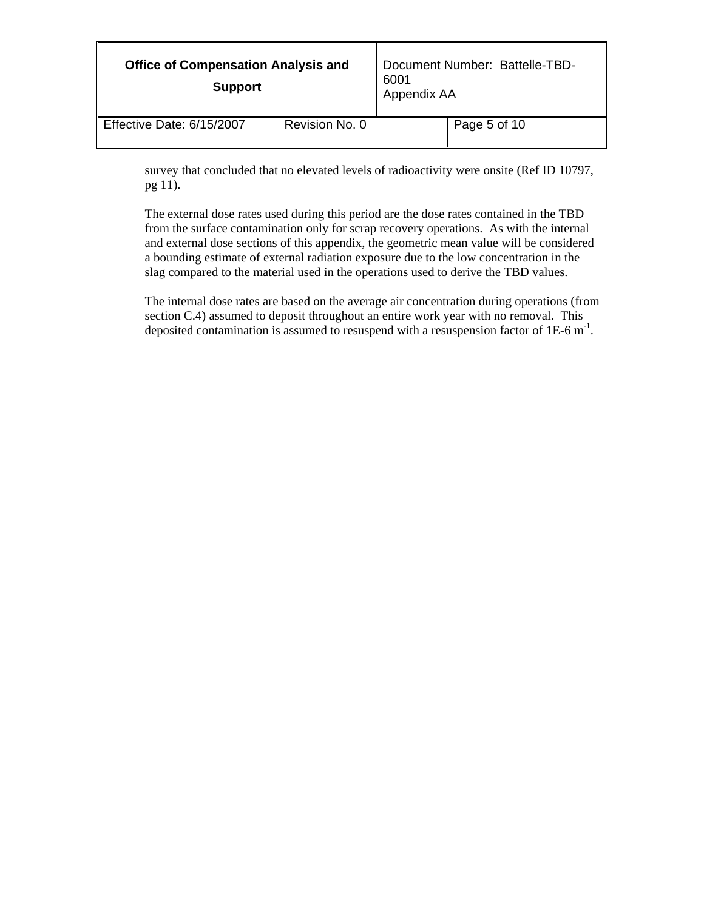| <b>Office of Compensation Analysis and</b><br><b>Support</b> |                | Document Number: Battelle-TBD-<br>6001<br>Appendix AA |              |
|--------------------------------------------------------------|----------------|-------------------------------------------------------|--------------|
| Effective Date: 6/15/2007                                    | Revision No. 0 |                                                       | Page 5 of 10 |

survey that concluded that no elevated levels of radioactivity were onsite (Ref ID 10797, pg 11).

The external dose rates used during this period are the dose rates contained in the TBD from the surface contamination only for scrap recovery operations. As with the internal and external dose sections of this appendix, the geometric mean value will be considered a bounding estimate of external radiation exposure due to the low concentration in the slag compared to the material used in the operations used to derive the TBD values.

The internal dose rates are based on the average air concentration during operations (from section C.4) assumed to deposit throughout an entire work year with no removal. This deposited contamination is assumed to resuspend with a resuspension factor of  $1E-6$  m<sup>-1</sup>.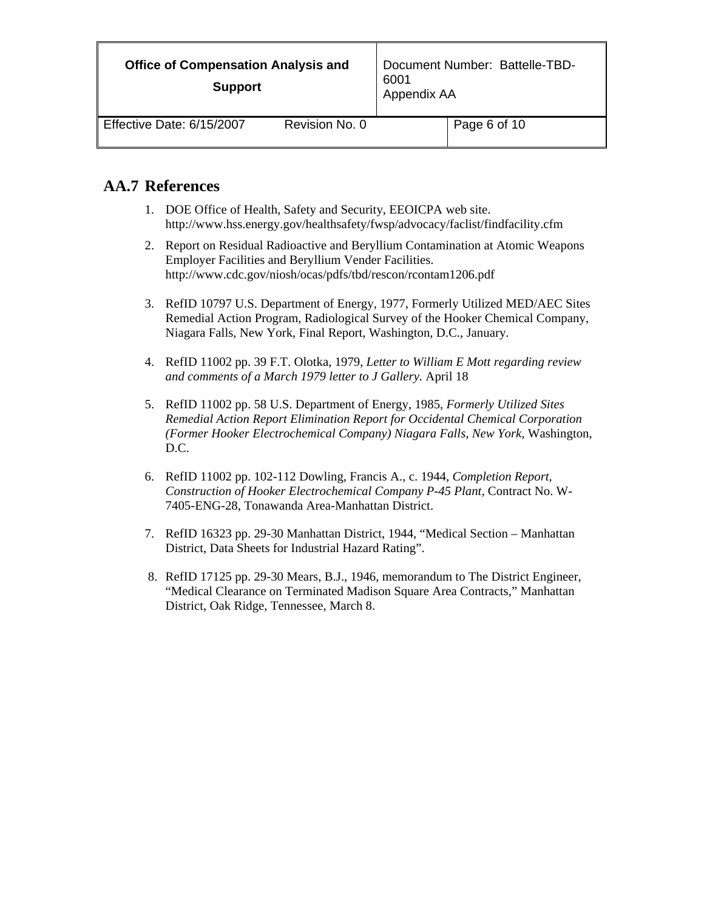| <b>Office of Compensation Analysis and</b><br><b>Support</b> |                | 6001<br>Appendix AA | Document Number: Battelle-TBD- |
|--------------------------------------------------------------|----------------|---------------------|--------------------------------|
| Effective Date: 6/15/2007                                    | Revision No. 0 |                     | Page 6 of 10                   |

## **AA.7 References**

- 1. DOE Office of Health, Safety and Security, EEOICPA web site. http://www.hss.energy.gov/healthsafety/fwsp/advocacy/faclist/findfacility.cfm
- 2. Report on Residual Radioactive and Beryllium Contamination at Atomic Weapons Employer Facilities and Beryllium Vender Facilities. http://www.cdc.gov/niosh/ocas/pdfs/tbd/rescon/rcontam1206.pdf
- 3. RefID 10797 U.S. Department of Energy, 1977, Formerly Utilized MED/AEC Sites Remedial Action Program, Radiological Survey of the Hooker Chemical Company, Niagara Falls, New York, Final Report, Washington, D.C., January.
- 4. RefID 11002 pp. 39 F.T. Olotka, 1979, *Letter to William E Mott regarding review and comments of a March 1979 letter to J Gallery.* April 18
- 5. RefID 11002 pp. 58 U.S. Department of Energy, 1985, *Formerly Utilized Sites Remedial Action Report Elimination Report for Occidental Chemical Corporation (Former Hooker Electrochemical Company) Niagara Falls, New York,* Washington, D.C.
- 6. RefID 11002 pp. 102-112 Dowling, Francis A., c. 1944, *Completion Report, Construction of Hooker Electrochemical Company P-45 Plant,* Contract No. W-7405-ENG-28, Tonawanda Area-Manhattan District.
- 7. RefID 16323 pp. 29-30 Manhattan District, 1944, "Medical Section Manhattan District, Data Sheets for Industrial Hazard Rating".
- 8. RefID 17125 pp. 29-30 Mears, B.J., 1946, memorandum to The District Engineer, "Medical Clearance on Terminated Madison Square Area Contracts," Manhattan District, Oak Ridge, Tennessee, March 8.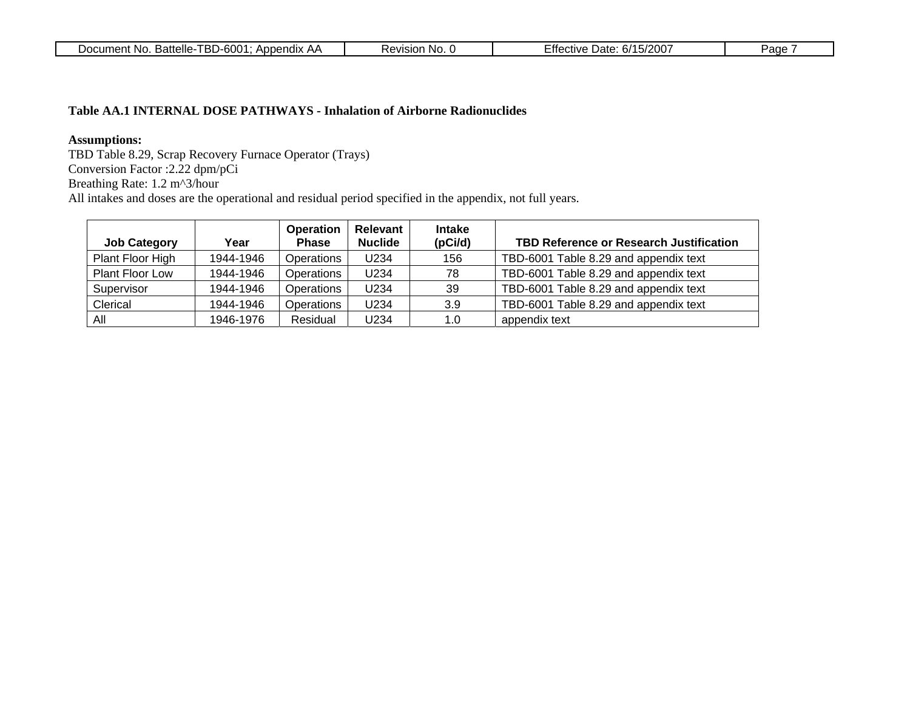| 6001<br>ז כד<br>ਾatteli⊾<br>$\mathbf{u}$<br>bendix<br>. N.I.<br>പറ<br>10000<br>$\cdots$<br>н н<br>11 I I I I<br>$\mathbf{r}$<br><b>DI</b><br>w | "ISION<br>NO.<br>IN U | ാഡ.<br>$\overline{\phantom{a}}$<br>:tte<br>Date<br>h/<br>:TIVE<br>$\sim$ 11 $\sim$<br>2 U U | -aae |
|------------------------------------------------------------------------------------------------------------------------------------------------|-----------------------|---------------------------------------------------------------------------------------------|------|
|                                                                                                                                                |                       |                                                                                             |      |
|                                                                                                                                                |                       |                                                                                             |      |

#### **Table AA.1 INTERNAL DOSE PATHWAYS - Inhalation of Airborne Radionuclides**

### **Assumptions:**

TBD Table 8.29, Scrap Recovery Furnace Operator (Trays) Conversion Factor :2.22 dpm/pCi Breathing Rate: 1.2 m^3/hour All intakes and doses are the operational and residual period specified in the appendix, not full years.

| <b>Job Category</b> | Year      | <b>Operation</b><br><b>Phase</b> | Relevant<br><b>Nuclide</b> | <b>Intake</b><br>(pCi/d) | <b>TBD Reference or Research Justification</b> |
|---------------------|-----------|----------------------------------|----------------------------|--------------------------|------------------------------------------------|
| Plant Floor High    | 1944-1946 | Operations                       | U234                       | 156                      | TBD-6001 Table 8.29 and appendix text          |
| Plant Floor Low     | 1944-1946 | Operations                       | U234                       | 78                       | TBD-6001 Table 8.29 and appendix text          |
| Supervisor          | 1944-1946 | Operations                       | U234                       | 39                       | TBD-6001 Table 8.29 and appendix text          |
| Clerical            | 1944-1946 | Operations                       | U234                       | 3.9                      | TBD-6001 Table 8.29 and appendix text          |
| All                 | 1946-1976 | Residual                         | U234                       | 1.0                      | appendix text                                  |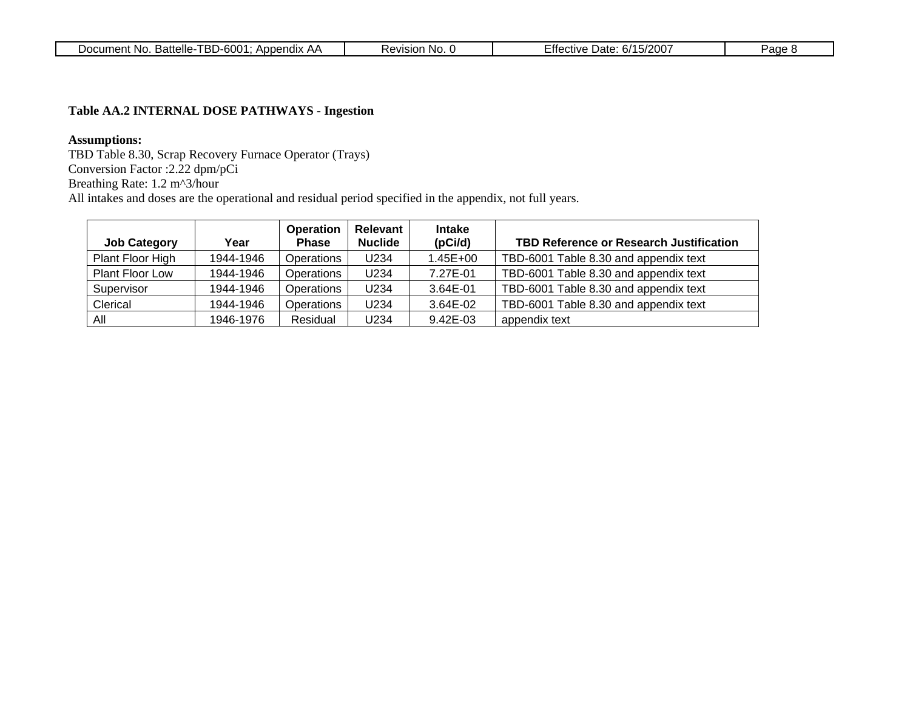| TBD-6001;<br><b>Battelle</b><br>Document No.<br>: Appendix AA | Revision<br>า No. | Effective<br>.6/15/2007<br>Date <sup>-</sup> | Page |
|---------------------------------------------------------------|-------------------|----------------------------------------------|------|
|---------------------------------------------------------------|-------------------|----------------------------------------------|------|

### **Table AA.2 INTERNAL DOSE PATHWAYS - Ingestion**

### **Assumptions:**

TBD Table 8.30, Scrap Recovery Furnace Operator (Trays) Conversion Factor :2.22 dpm/pCi Breathing Rate: 1.2 m^3/hour All intakes and doses are the operational and residual period specified in the appendix, not full years.

| <b>Job Category</b> | Year      | <b>Operation</b><br><b>Phase</b> | Relevant<br><b>Nuclide</b> | <b>Intake</b><br>(pCi/d) | <b>TBD Reference or Research Justification</b> |
|---------------------|-----------|----------------------------------|----------------------------|--------------------------|------------------------------------------------|
| Plant Floor High    | 1944-1946 | Operations                       | U234                       | 1.45E+00                 | TBD-6001 Table 8.30 and appendix text          |
| Plant Floor Low     | 1944-1946 | Operations                       | U234                       | 7.27E-01                 | TBD-6001 Table 8.30 and appendix text          |
| Supervisor          | 1944-1946 | Operations                       | U234                       | 3.64E-01                 | TBD-6001 Table 8.30 and appendix text          |
| Clerical            | 1944-1946 | Operations                       | U234                       | 3.64E-02                 | TBD-6001 Table 8.30 and appendix text          |
| All                 | 1946-1976 | Residual                         | U234                       | 9.42E-03                 | appendix text                                  |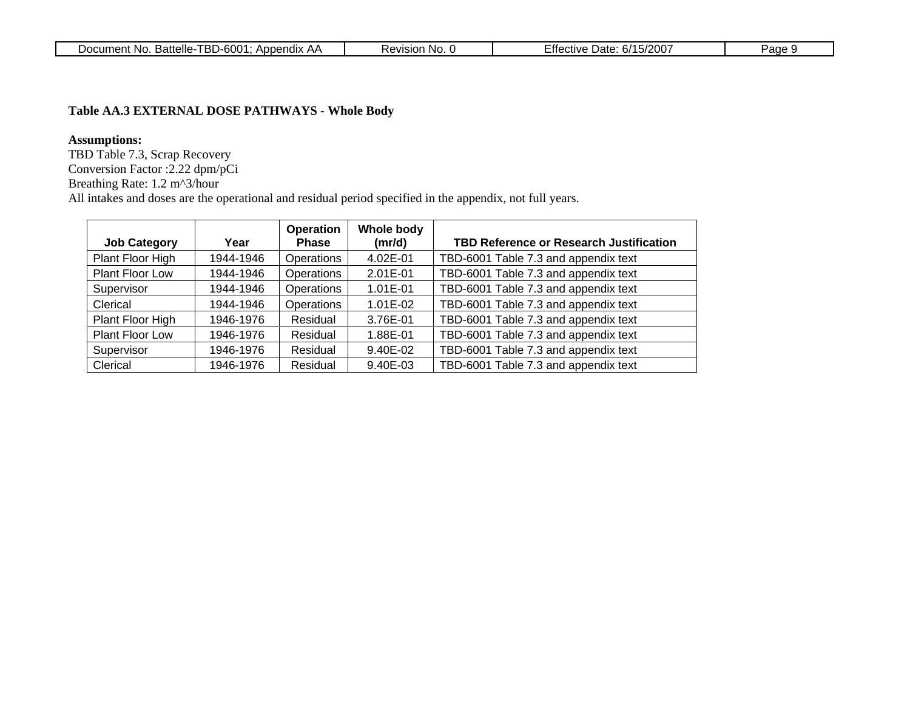| 6001<br>гог<br>3attelle<br>Appendix,<br>.<br>ാറ<br>$\mathbf{v}$<br>100000<br>лшег<br>- 12<br>w | vieinn<br>$\ddot{\phantom{0}}$<br>. NG<br>`<br>`` | $\sim$<br>$\ddot{\,}$<br>63.IT<br>∍ate<br>,<br>CIIV)<br>``<br><br>יש ו<br>7200 | $\mathbf{a}$<br>-aw |
|------------------------------------------------------------------------------------------------|---------------------------------------------------|--------------------------------------------------------------------------------|---------------------|
|                                                                                                |                                                   |                                                                                |                     |

### **Table AA.3 EXTERNAL DOSE PATHWAYS - Whole Body**

### **Assumptions:**

TBD Table 7.3, Scrap Recovery Conversion Factor :2.22 dpm/pCi Breathing Rate: 1.2 m^3/hour All intakes and doses are the operational and residual period specified in the appendix, not full years.

| <b>Job Category</b> | Year      | <b>Operation</b><br><b>Phase</b> | Whole body<br>(mr/d) | <b>TBD Reference or Research Justification</b> |
|---------------------|-----------|----------------------------------|----------------------|------------------------------------------------|
| Plant Floor High    | 1944-1946 | Operations                       | 4.02E-01             | TBD-6001 Table 7.3 and appendix text           |
| Plant Floor Low     | 1944-1946 | Operations                       | 2.01E-01             | TBD-6001 Table 7.3 and appendix text           |
| Supervisor          | 1944-1946 | Operations                       | 1.01E-01             | TBD-6001 Table 7.3 and appendix text           |
| Clerical            | 1944-1946 | Operations                       | 1.01E-02             | TBD-6001 Table 7.3 and appendix text           |
| Plant Floor High    | 1946-1976 | Residual                         | 3.76E-01             | TBD-6001 Table 7.3 and appendix text           |
| Plant Floor Low     | 1946-1976 | Residual                         | 1.88E-01             | TBD-6001 Table 7.3 and appendix text           |
| Supervisor          | 1946-1976 | Residual                         | 9.40E-02             | TBD-6001 Table 7.3 and appendix text           |
| Clerical            | 1946-1976 | Residual                         | 9.40E-03             | TBD-6001 Table 7.3 and appendix text           |